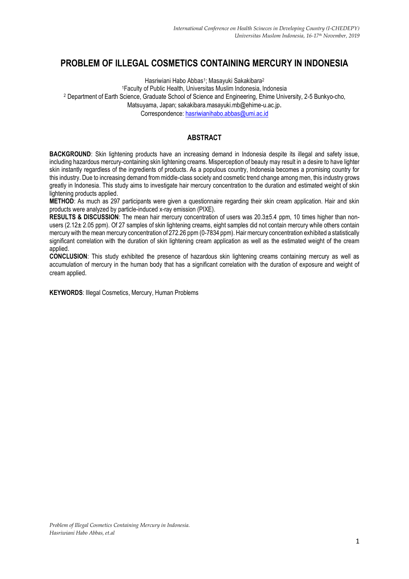# **PROBLEM OF ILLEGAL COSMETICS CONTAINING MERCURY IN INDONESIA**

Hasriwiani Habo Abbas<sup>1</sup>; Masayuki Sakakibara<sup>2</sup>

<sup>1</sup>Faculty of Public Health, Universitas Muslim Indonesia, Indonesia

<sup>2</sup> Department of Earth Science, Graduate School of Science and Engineering, Ehime University, 2-5 Bunkyo-cho,

Matsuyama, Japan; sakakibara.masayuki.mb@ehime-u.ac.jp.

Correspondence: [hasriwianihabo.abbas@umi.ac.id](mailto:hasriwianihabo.abbas@umi.ac.id)

# **ABSTRACT**

**BACKGROUND:** Skin lightening products have an increasing demand in Indonesia despite its illegal and safety issue, including hazardous mercury-containing skin lightening creams. Misperception of beauty may result in a desire to have lighter skin instantly regardless of the ingredients of products. As a populous country, Indonesia becomes a promising country for this industry. Due to increasing demand from middle-class society and cosmetic trend change among men, this industry grows greatly in Indonesia. This study aims to investigate hair mercury concentration to the duration and estimated weight of skin lightening products applied.

**METHOD**: As much as 297 participants were given a questionnaire regarding their skin cream application. Hair and skin products were analyzed by particle-induced x-ray emission (PIXE).

**RESULTS & DISCUSSION**: The mean hair mercury concentration of users was 20.3±5.4 ppm, 10 times higher than nonusers (2.12± 2.05 ppm). Of 27 samples of skin lightening creams, eight samples did not contain mercury while others contain mercury with the mean mercury concentration of 272.26 ppm (0-7834 ppm). Hair mercury concentration exhibited a statistically significant correlation with the duration of skin lightening cream application as well as the estimated weight of the cream applied.

**CONCLUSION**: This study exhibited the presence of hazardous skin lightening creams containing mercury as well as accumulation of mercury in the human body that has a significant correlation with the duration of exposure and weight of cream applied.

**KEYWORDS**: Illegal Cosmetics, Mercury, Human Problems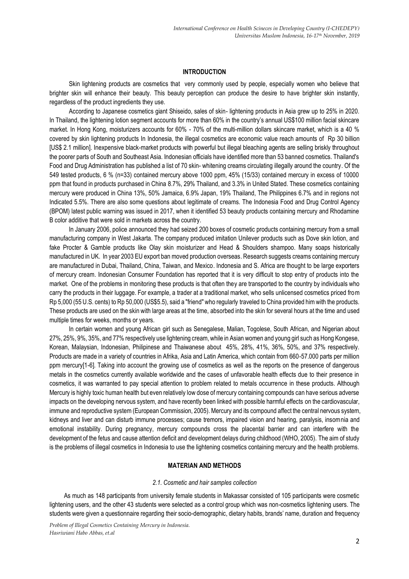# **INTRODUCTION**

Skin lightening products are cosmetics that very commonly used by people, especially women who believe that brighter skin will enhance their beauty. This beauty perception can produce the desire to have brighter skin instantly, regardless of the product ingredients they use.

According to Japanese cosmetics giant Shiseido, sales of skin- lightening products in Asia grew up to 25% in 2020. In Thailand, the lightening lotion segment accounts for more than 60% in the country's annual US\$100 million facial skincare market. In Hong Kong, moisturizers accounts for 60% - 70% of the multi-million dollars skincare market, which is a 40 % covered by skin lightening products In Indonesia, the illegal cosmetics are economic value reach amounts of Rp 30 billion [US\$ 2.1 million]. Inexpensive black-market products with powerful but illegal bleaching agents are selling briskly throughout the poorer parts of South and Southeast Asia. Indonesian officials have identified more than 53 banned cosmetics. Thailand's Food and Drug Administration has published a list of 70 skin- whitening creams circulating illegally around the country. Of the 549 tested products, 6 % (n=33) contained mercury above 1000 ppm, 45% (15/33) contained mercury in excess of 10000 ppm that found in products purchased in China 8.7%, 29% Thailand, and 3.3% in United Stated. These cosmetics containing mercury were produced in China 13%, 50% Jamaica, 6.9% Japan, 19% Thailand, The Philippines 6.7% and in regions not Indicated 5.5%. There are also some questions about legitimate of creams. The Indonesia Food and Drug Control Agency (BPOM) latest public warning was issued in 2017, when it identified 53 beauty products containing mercury and Rhodamine B color additive that were sold in markets across the country.

In January 2006, police announced they had seized 200 boxes of cosmetic products containing mercury from a small manufacturing company in West Jakarta. The company produced imitation Unilever products such as Dove skin lotion, and fake Procter & Gamble products like Olay skin moisturizer and Head & Shoulders shampoo. Many soaps historically manufactured in UK. In year 2003 EU export ban moved production overseas. Research suggests creams containing mercury are manufactured in Dubai, Thailand, China, Taiwan, and Mexico. Indonesia and S. Africa are thought to be large exporters of mercury cream. Indonesian Consumer Foundation has reported that it is very difficult to stop entry of products into the market. One of the problems in monitoring these products is that often they are transported to the country by individuals who carry the products in their luggage. For example, a trader at a traditional market, who sells unlicensed cosmetics priced from Rp 5,000 (55 U.S. cents) to Rp 50,000 (US\$5.5), said a "friend" who regularly traveled to China provided him with the products. These products are used on the skin with large areas at the time, absorbed into the skin for several hours at the time and used multiple times for weeks, months or years.

In certain women and young African girl such as Senegalese, Malian, Togolese, South African, and Nigerian about 27%, 25%, 9%, 35%, and 77% respectively use lightening cream, while in Asian women and young girl such as Hong Kongese, Korean, Malaysian, Indonesian, Philipinese and Thaiwanese about 45%, 28%, 41%, 36%, 50%, and 37% respectively. Products are made in a variety of countries in Afrika, Asia and Latin America, which contain from 660-57.000 parts per million ppm mercury[1-6]. Taking into account the growing use of cosmetics as well as the reports on the presence of dangerous metals in the cosmetics currently available worldwide and the cases of unfavorable health effects due to their presence in cosmetics, it was warranted to pay special attention to problem related to metals occurrence in these products. Although Mercury is highly toxic human health but even relatively low dose of mercury containing compounds can have serious adverse impacts on the developing nervous system, and have recently been linked with possible harmful effects on the cardiovascular, immune and reproductive system (European Commission, 2005). Mercury and its compound affect the central nervous system, kidneys and liver and can disturb immune processes; cause tremors, impaired vision and hearing, paralysis, insomnia and emotional instability. During pregnancy, mercury compounds cross the placental barrier and can interfere with the development of the fetus and cause attention deficit and development delays during childhood (WHO, 2005). The aim of study is the problems of illegal cosmetics in Indonesia to use the lightening cosmetics containing mercury and the health problems.

#### **MATERIAN AND METHODS**

#### *2.1. Cosmetic and hair samples collection*

As much as 148 participants from university female students in Makassar consisted of 105 participants were cosmetic lightening users, and the other 43 students were selected as a control group which was non-cosmetics lightening users. The students were given a questionnaire regarding their socio-demographic, dietary habits, brands' name, duration and frequency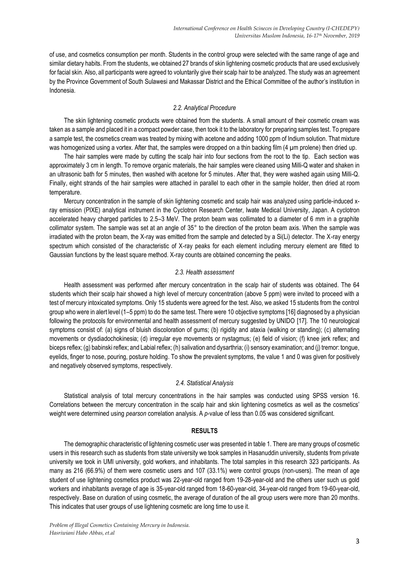of use, and cosmetics consumption per month. Students in the control group were selected with the same range of age and similar dietary habits. From the students, we obtained 27 brands of skin lightening cosmetic products that are used exclusively for facial skin. Also, all participants were agreed to voluntarily give their scalp hair to be analyzed. The study was an agreement by the Province Government of South Sulawesi and Makassar District and the Ethical Committee of the author's institution in Indonesia.

# *2.2. Analytical Procedure*

The skin lightening cosmetic products were obtained from the students. A small amount of their cosmetic cream was taken as a sample and placed it in a compact powder case, then took it to the laboratory for preparing samples test. To prepare a sample test, the cosmetics cream was treated by mixing with acetone and adding 1000 ppm of Indium solution. That mixture was homogenized using a vortex. After that, the samples were dropped on a thin backing film (4 µm prolene) then dried up.

The hair samples were made by cutting the scalp hair into four sections from the root to the tip. Each section was approximately 3 cm in length. To remove organic materials, the hair samples were cleaned using Milli-Q water and shaken in an ultrasonic bath for 5 minutes, then washed with acetone for 5 minutes. After that, they were washed again using Milli-Q. Finally, eight strands of the hair samples were attached in parallel to each other in the sample holder, then dried at room temperature.

Mercury concentration in the sample of skin lightening cosmetic and scalp hair was analyzed using particle-induced xray emission (PIXE) analytical instrument in the Cyclotron Research Center, Iwate Medical University, Japan. A cyclotron accelerated heavy charged particles to 2.5–3 MeV. The proton beam was collimated to a diameter of 6 mm in a graphite collimator system. The sample was set at an angle of 35° to the direction of the proton beam axis. When the sample was irradiated with the proton beam, the X-ray was emitted from the sample and detected by a Si(Li) detector. The X-ray energy spectrum which consisted of the characteristic of X-ray peaks for each element including mercury element are fitted to Gaussian functions by the least square method. X-ray counts are obtained concerning the peaks.

#### *2.3. Health assessment*

Health assessment was performed after mercury concentration in the scalp hair of students was obtained. The 64 students which their scalp hair showed a high level of mercury concentration (above 5 ppm) were invited to proceed with a test of mercury intoxicated symptoms. Only 15 students were agreed for the test. Also, we asked 15 students from the control group who were in alert level (1–5 ppm) to do the same test. There were 10 objective symptoms [16] diagnosed by a physician following the protocols for environmental and health assessment of mercury suggested by UNIDO [17]. The 10 neurological symptoms consist of: (a) signs of bluish discoloration of gums; (b) rigidity and ataxia (walking or standing); (c) alternating movements or dysdiadochokinesia; (d) irregular eye movements or nystagmus; (e) field of vision; (f) knee jerk reflex; and biceps reflex; (g) babinski reflex; and Labial reflex; (h) salivation and dysarthria; (i) sensory examination; and (j) tremor: tongue, eyelids, finger to nose, pouring, posture holding. To show the prevalent symptoms, the value 1 and 0 was given for positively and negatively observed symptoms, respectively.

#### *2.4. Statistical Analysis*

Statistical analysis of total mercury concentrations in the hair samples was conducted using SPSS version 16. Correlations between the mercury concentration in the scalp hair and skin lightening cosmetics as well as the cosmetics' weight were determined using *pearson* correlation analysis. A *p*-value of less than 0.05 was considered significant.

#### **RESULTS**

The demographic characteristic of lightening cosmetic user was presented in table 1. There are many groups of cosmetic users in this research such as students from state university we took samples in Hasanuddin university, students from private university we took in UMI university, gold workers, and inhabitants. The total samples in this research 323 participants. As many as 216 (66.9%) of them were cosmetic users and 107 (33.1%) were control groups (non-users). The mean of age student of use lightening cosmetics product was 22-year-old ranged from 19-28-year-old and the others user such us gold workers and inhabitants average of age is 35-year-old ranged from 18-60-year-old, 34-year-old ranged from 19-60-year-old, respectively. Base on duration of using cosmetic, the average of duration of the all group users were more than 20 months. This indicates that user groups of use lightening cosmetic are long time to use it.

*Problem of Illegal Cosmetics Containing Mercury in Indonesia. Hasriwiani Habo Abbas, et.al*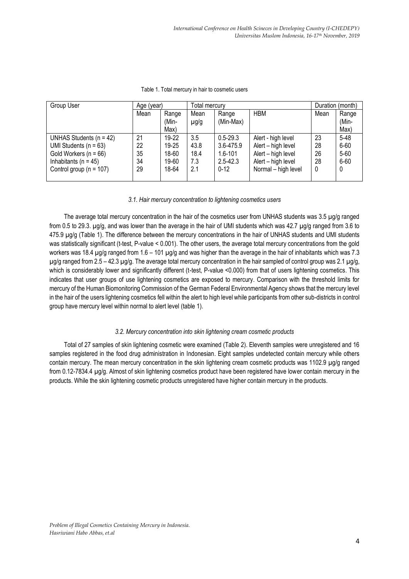| Group User                  | Age (year) |         | Total mercury |              |                     | Duration (month) |              |
|-----------------------------|------------|---------|---------------|--------------|---------------------|------------------|--------------|
|                             | Mean       | Range   | Mean          | Range        | <b>HBM</b>          | Mean             | Range        |
|                             |            | (Min-   | $\mu$ g/g     | (Min-Max)    |                     |                  | (Min-        |
|                             |            | Max)    |               |              |                     |                  | Max)         |
| UNHAS Students $(n = 42)$   | 21         | $19-22$ | 3.5           | $0.5 - 29.3$ | Alert - high level  | 23               | $5 - 48$     |
| UMI Students ( $n = 63$ )   | 22         | 19-25   | 43.8          | 3.6-475.9    | Alert - high level  | 28               | $6 - 60$     |
| Gold Workers ( $n = 66$ )   | 35         | 18-60   | 18.4          | $1.6 - 101$  | Alert - high level  | 26               | $5 - 60$     |
| Inhabitants ( $n = 45$ )    | 34         | 19-60   | 7.3           | $2.5 - 42.3$ | Alert - high level  | 28               | 6-60         |
| Control group ( $n = 107$ ) | 29         | 18-64   | 2.1           | $0 - 12$     | Normal - high level | 0                | $\mathbf{0}$ |
|                             |            |         |               |              |                     |                  |              |

Table 1. Total mercury in hair to cosmetic users

#### *3.1. Hair mercury concentration to lightening cosmetics users*

The average total mercury concentration in the hair of the cosmetics user from UNHAS students was 3.5 µg/g ranged from 0.5 to 29.3, ug/g, and was lower than the average in the hair of UMI students which was 42.7 ug/g ranged from 3.6 to 475.9 µg/g (Table 1). The difference between the mercury concentrations in the hair of UNHAS students and UMI students was statistically significant (t-test, P-value < 0.001). The other users, the average total mercury concentrations from the gold workers was 18.4 ug/g ranged from 1.6 – 101 ug/g and was higher than the average in the hair of inhabitants which was 7.3  $\mu q/q$  ranged from 2.5 – 42.3  $\mu q/q$ . The average total mercury concentration in the hair sampled of control group was 2.1  $\mu q/q$ , which is considerably lower and significantly different (t-test, P-value <0.000) from that of users lightening cosmetics. This indicates that user groups of use lightening cosmetics are exposed to mercury. Comparison with the threshold limits for mercury of the Human Biomonitoring Commission of the German Federal Environmental Agency shows that the mercury level in the hair of the users lightening cosmetics fell within the alert to high level while participants from other sub-districts in control group have mercury level within normal to alert level (table 1).

# *3.2. Mercury concentration into skin lightening cream cosmetic products*

Total of 27 samples of skin lightening cosmetic were examined (Table 2). Eleventh samples were unregistered and 16 samples registered in the food drug administration in Indonesian. Eight samples undetected contain mercury while others contain mercury. The mean mercury concentration in the skin lightening cream cosmetic products was 1102.9 µg/g ranged from 0.12-7834.4 µg/g. Almost of skin lightening cosmetics product have been registered have lower contain mercury in the products. While the skin lightening cosmetic products unregistered have higher contain mercury in the products.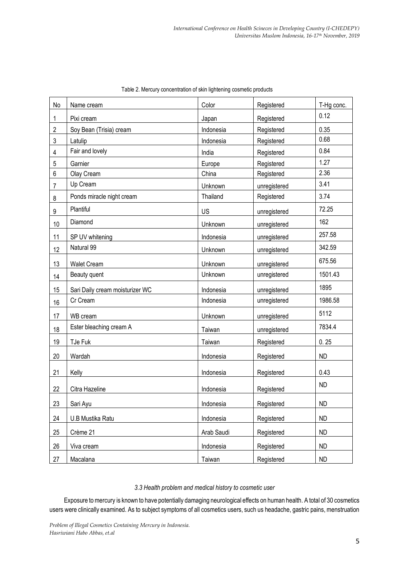| No             | Name cream                      | Color      | Registered   | T-Hg conc. |
|----------------|---------------------------------|------------|--------------|------------|
| 1              | Pixi cream                      | Japan      | Registered   | 0.12       |
| $\overline{2}$ | Soy Bean (Trisia) cream         | Indonesia  | Registered   | 0.35       |
| $\sqrt{3}$     | Latulip                         | Indonesia  | Registered   | 0.68       |
| $\overline{4}$ | Fair and lovely                 | India      | Registered   | 0.84       |
| 5              | Garnier                         | Europe     | Registered   | 1.27       |
| 6              | Olay Cream                      | China      | Registered   | 2.36       |
| 7              | Up Cream                        | Unknown    | unregistered | 3.41       |
| 8              | Ponds miracle night cream       | Thailand   | Registered   | 3.74       |
| 9              | Plantiful                       | US         | unregistered | 72.25      |
| 10             | Diamond                         | Unknown    | unregistered | 162        |
| 11             | SP UV whitening                 | Indonesia  | unregistered | 257.58     |
| 12             | Natural 99                      | Unknown    | unregistered | 342.59     |
| 13             | <b>Walet Cream</b>              | Unknown    | unregistered | 675.56     |
| 14             | Beauty quent                    | Unknown    | unregistered | 1501.43    |
| 15             | Sari Daily cream moisturizer WC | Indonesia  | unregistered | 1895       |
| 16             | Cr Cream                        | Indonesia  | unregistered | 1986.58    |
| 17             | WB cream                        | Unknown    | unregistered | 5112       |
| 18             | Ester bleaching cream A         | Taiwan     | unregistered | 7834.4     |
| 19             | TJe Fuk                         | Taiwan     | Registered   | 0.25       |
| 20             | Wardah                          | Indonesia  | Registered   | <b>ND</b>  |
| 21             | Kelly                           | Indonesia  | Registered   | 0.43       |
| 22             | Citra Hazeline                  | Indonesia  | Registered   | <b>ND</b>  |
| 23             | Sari Ayu                        | Indonesia  | Registered   | ND         |
| 24             | U.B Mustika Ratu                | Indonesia  | Registered   | <b>ND</b>  |
| 25             | Crème 21                        | Arab Saudi | Registered   | <b>ND</b>  |
| 26             | Viva cream                      | Indonesia  | Registered   | <b>ND</b>  |
| 27             | Macalana                        | Taiwan     | Registered   | <b>ND</b>  |

|  |  | Table 2. Mercury concentration of skin lightening cosmetic products |
|--|--|---------------------------------------------------------------------|
|  |  |                                                                     |

*3.3 Health problem and medical history to cosmetic user*

Exposure to mercury is known to have potentially damaging neurological effects on human health. A total of 30 cosmetics users were clinically examined. As to subject symptoms of all cosmetics users, such us headache, gastric pains, menstruation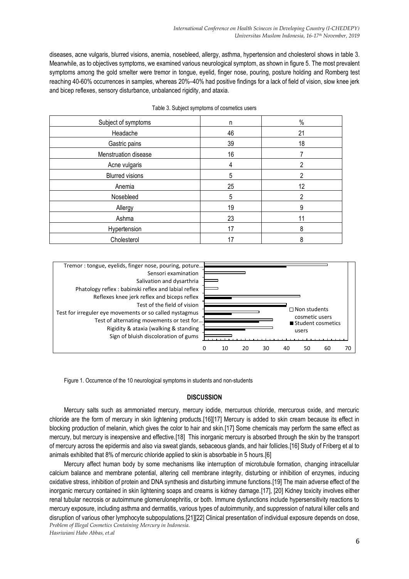diseases, acne vulgaris, blurred visions, anemia, nosebleed, allergy, asthma, hypertension and cholesterol shows in table 3. Meanwhile, as to objectives symptoms, we examined various neurological symptom, as shown in figure 5. The most prevalent symptoms among the gold smelter were tremor in tongue, eyelid, finger nose, pouring, posture holding and Romberg test reaching 40-60% occurrences in samples, whereas 20%–40% had positive findings for a lack of field of vision, slow knee jerk and bicep reflexes, sensory disturbance, unbalanced rigidity, and ataxia.

| Subject of symptoms    | n  | $\%$ |
|------------------------|----|------|
| Headache               | 46 | 21   |
| Gastric pains          | 39 | 18   |
| Menstruation disease   | 16 |      |
| Acne vulgaris          | 4  | 2    |
| <b>Blurred visions</b> | 5  | 2    |
| Anemia                 | 25 | 12   |
| Nosebleed              | 5  | 2    |
| Allergy                | 19 | 9    |
| Ashma                  | 23 |      |
| Hypertension           | 17 | 8    |
| Cholesterol            | 17 | 8    |

|  |  |  | Table 3. Subject symptoms of cosmetics users |  |
|--|--|--|----------------------------------------------|--|
|--|--|--|----------------------------------------------|--|



Figure 1. Occurrence of the 10 neurological symptoms in students and non-students

# **DISCUSSION**

Mercury salts such as ammoniated mercury, mercury iodide, mercurous chloride, mercurous oxide, and mercuric chloride are the form of mercury in skin lightening products.[16][17] Mercury is added to skin cream because its effect in blocking production of melanin, which gives the color to hair and skin.[17] Some chemicals may perform the same effect as mercury, but mercury is inexpensive and effective.[18] This inorganic mercury is absorbed through the skin by the transport of mercury across the epidermis and also via sweat glands, sebaceous glands, and hair follicles.[16] Study of Friberg et al to animals exhibited that 8% of mercuric chloride applied to skin is absorbable in 5 hours.[6]

*Problem of Illegal Cosmetics Containing Mercury in Indonesia.* Mercury affect human body by some mechanisms like interruption of microtubule formation, changing intracellular calcium balance and membrane potential, altering cell membrane integrity, disturbing or inhibition of enzymes, inducing oxidative stress, inhibition of protein and DNA synthesis and disturbing immune functions.[19] The main adverse effect of the inorganic mercury contained in skin lightening soaps and creams is kidney damage.[17], [20] Kidney toxicity involves either renal tubular necrosis or autoimmune glomerulonephritis, or both. Immune dysfunctions include hypersensitivity reactions to mercury exposure, including asthma and dermatitis, various types of autoimmunity, and suppression of natural killer cells and disruption of various other lymphocyte subpopulations.[21][22] Clinical presentation of individual exposure depends on dose,

*Hasriwiani Habo Abbas, et.al*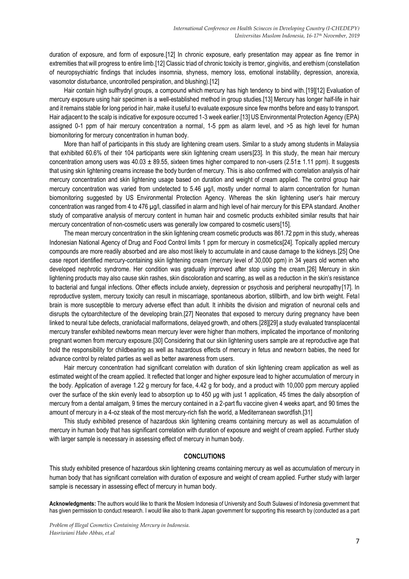duration of exposure, and form of exposure.[12] In chronic exposure, early presentation may appear as fine tremor in extremities that will progress to entire limb.[12] Classic triad of chronic toxicity is tremor, gingivitis, and erethism (constellation of neuropsychiatric findings that includes insomnia, shyness, memory loss, emotional instability, depression, anorexia, vasomotor disturbance, uncontrolled perspiration, and blushing).[12]

Hair contain high sulfhydryl groups, a compound which mercury has high tendency to bind with.[19][12] Evaluation of mercury exposure using hair specimen is a well-established method in group studies.[13] Mercury has longer half-life in hair and it remains stable for long period in hair, make it useful to evaluate exposure since few months before and easy to transport. Hair adjacent to the scalp is indicative for exposure occurred 1-3 week earlier.[13] US Environmental Protection Agency (EPA) assigned 0-1 ppm of hair mercury concentration a normal, 1-5 ppm as alarm level, and >5 as high level for human biomonitoring for mercury concentration in human body.

More than half of participants in this study are lightening cream users. Similar to a study among students in Malaysia that exhibited 60.6% of their 104 participants were skin lightening cream users[23]. In this study, the mean hair mercury concentration among users was  $40.03 \pm 89.55$ , sixteen times higher compared to non-users  $(2.51 \pm 1.11$  ppm). It suggests that using skin lightening creams increase the body burden of mercury. This is also confirmed with correlation analysis of hair mercury concentration and skin lightening usage based on duration and weight of cream applied. The control group hair mercury concentration was varied from undetected to 5.46 µg/l, mostly under normal to alarm concentration for human biomonitoring suggested by US Environmental Protection Agency. Whereas the skin lightening user's hair mercury concentration was ranged from 4 to 476 µg/l, classified in alarm and high level of hair mercury for this EPA standard. Another study of comparative analysis of mercury content in human hair and cosmetic products exhibited similar results that hair mercury concentration of non-cosmetic users was generally low compared to cosmetic users[15].

The mean mercury concentration in the skin lightening cream cosmetic products was 861.72 ppm in this study, whereas Indonesian National Agency of Drug and Food Control limits 1 ppm for mercury in cosmetics[24]. Topically applied mercury compounds are more readily absorbed and are also most likely to accumulate in and cause damage to the kidneys.[25] One case report identified mercury-containing skin lightening cream (mercury level of 30,000 ppm) in 34 years old women who developed nephrotic syndrome. Her condition was gradually improved after stop using the cream.[26] Mercury in skin lightening products may also cause skin rashes, skin discoloration and scarring, as well as a reduction in the skin's resistance to bacterial and fungal infections. Other effects include anxiety, depression or psychosis and peripheral neuropathy[17]. In reproductive system, mercury toxicity can result in miscarriage, spontaneous abortion, stillbirth, and low birth weight. Fetal brain is more susceptible to mercury adverse effect than adult. It inhibits the division and migration of neuronal cells and disrupts the cytoarchitecture of the developing brain.[27] Neonates that exposed to mercury during pregnancy have been linked to neural tube defects, craniofacial malformations, delayed growth, and others.[28][29] a study evaluated transplacental mercury transfer exhibited newborns mean mercury lever were higher than mothers, implicated the importance of monitoring pregnant women from mercury exposure.[30] Considering that our skin lightening users sample are at reproductive age that hold the responsibility for childbearing as well as hazardous effects of mercury in fetus and newborn babies, the need for advance control by related parties as well as better awareness from users.

Hair mercury concentration had significant correlation with duration of skin lightening cream application as well as estimated weight of the cream applied. It reflected that longer and higher exposure lead to higher accumulation of mercury in the body. Application of average 1.22 g mercury for face, 4.42 g for body, and a product with 10,000 ppm mercury applied over the surface of the skin evenly lead to absorption up to 450 μg with just 1 application, 45 times the daily absorption of mercury from a dental amalgam, 9 times the mercury contained in a 2-part flu vaccine given 4 weeks apart, and 90 times the amount of mercury in a 4-oz steak of the most mercury-rich fish the world, a Mediterranean swordfish.[31]

This study exhibited presence of hazardous skin lightening creams containing mercury as well as accumulation of mercury in human body that has significant correlation with duration of exposure and weight of cream applied. Further study with larger sample is necessary in assessing effect of mercury in human body.

# **CONCLUTIONS**

This study exhibited presence of hazardous skin lightening creams containing mercury as well as accumulation of mercury in human body that has significant correlation with duration of exposure and weight of cream applied. Further study with larger sample is necessary in assessing effect of mercury in human body.

**Acknowledgments:** The authors would like to thank the Moslem Indonesia of University and South Sulawesi of Indonesia government that has given permission to conduct research. I would like also to thank Japan government for supporting this research by (conducted as a part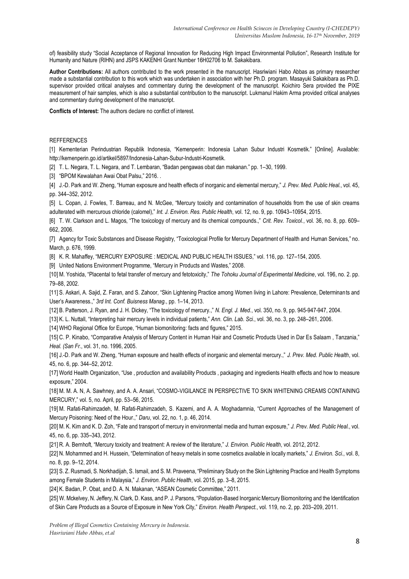of) feasibility study "Social Acceptance of Regional Innovation for Reducing High Impact Environmental Pollution", Research Institute for Humanity and Nature (RIHN) and JSPS KAKENHI Grant Number 16H02706 to M. Sakakibara.

**Author Contributions:** All authors contributed to the work presented in the manuscript. Hasriwiani Habo Abbas as primary researcher made a substantial contribution to this work which was undertaken in association with her Ph.D. program. Masayuki Sakakibara as Ph.D. supervisor provided critical analyses and commentary during the development of the manuscript. Koichiro Sera provided the PIXE measurement of hair samples, which is also a substantial contribution to the manuscript. Lukmanul Hakim Arma provided critical analyses and commentary during development of the manuscript.

**Conflicts of Interest:** The authors declare no conflict of interest.

#### **REFFERENCES**

[1] Kementerian Perindustrian Republik Indonesia, "Kemenperin: Indonesia Lahan Subur Industri Kosmetik." [Online]. Available: http://kemenperin.go.id/artikel/5897/Indonesia-Lahan-Subur-Industri-Kosmetik.

[2] T. L. Negara, T. L. Negara, and T. Lembaran, "Badan pengawas obat dan makanan." pp. 1–30, 1999.

[3] "BPOM Kewalahan Awai Obat Palsu," 2016. .

[4] J.-D. Park and W. Zheng, "Human exposure and health effects of inorganic and elemental mercury," *J. Prev. Med. Public Heal.*, vol. 45, pp. 344–352, 2012.

[5] L. Copan, J. Fowles, T. Barreau, and N. McGee, "Mercury toxicity and contamination of households from the use of skin creams adulterated with mercurous chloride (calomel)," *Int. J. Environ. Res. Public Health*, vol. 12, no. 9, pp. 10943–10954, 2015.

[6] T. W. Clarkson and L. Magos, "The toxicology of mercury and its chemical compounds.," *Crit. Rev. Toxicol.*, vol. 36, no. 8, pp. 609– 662, 2006.

[7] Agency for Toxic Substances and Disease Registry, "Toxicological Profile for Mercury Department of Health and Human Services," no. March, p. 676, 1999.

[8] K. R. Mahaffey, "MERCURY EXPOSURE : MEDICAL AND PUBLIC HEALTH ISSUES," vol. 116, pp. 127–154, 2005.

[9] United Nations Environment Programme, "Mercury in Products and Wastes," 2008.

[10] M. Yoshida, "Placental to fetal transfer of mercury and fetotoxicity," *The Tohoku Journal of Experimental Medicine*, vol. 196, no. 2. pp. 79–88, 2002.

[11] S. Askari, A. Sajid, Z. Faran, and S. Zahoor, "Skin Lightening Practice among Women living in Lahore: Prevalence, Determinants and User's Awareness.," *3rd Int. Conf. Buisness Manag.*, pp. 1–14, 2013.

[12] B. Patterson, J. Ryan, and J. H. Dickey, "The toxicology of mercury.," *N. Engl. J. Med.*, vol. 350, no. 9, pp. 945-947-947, 2004.

[13] K. L. Nuttall, "Interpreting hair mercury levels in individual patients," *Ann. Clin. Lab. Sci.*, vol. 36, no. 3, pp. 248–261, 2006.

[14] WHO Regional Office for Europe, "Human biomonitoring: facts and figures," 2015.

[15] C. P. Kinabo, "Comparative Analysis of Mercury Content in Human Hair and Cosmetic Products Used in Dar Es Salaam , Tanzania," *Heal. (San Fr.*, vol. 31, no. 1996, 2005.

[16] J.-D. Park and W. Zheng, "Human exposure and health effects of inorganic and elemental mercury.," *J. Prev. Med. Public Health*, vol. 45, no. 6, pp. 344–52, 2012.

[17] World Health Organization, "Use, production and availability Products, packaging and ingredients Health effects and how to measure exposure," 2004.

[18] M. M. A. N, A. Sawhney, and A. A. Ansari, "COSMO-VIGILANCE IN PERSPECTIVE TO SKIN WHITENING CREAMS CONTAINING MERCURY," vol. 5, no. April, pp. 53–56, 2015.

[19] M. Rafati-Rahimzadeh, M. Rafati-Rahimzadeh, S. Kazemi, and A. A. Moghadamnia, "Current Approaches of the Management of Mercury Poisoning: Need of the Hour.," *Daru*, vol. 22, no. 1, p. 46, 2014.

[20] M. K. Kim and K. D. Zoh, "Fate and transport of mercury in environmental media and human exposure," *J. Prev. Med. Public Heal.*, vol. 45, no. 6, pp. 335–343, 2012.

[21] R. A. Bernhoft, "Mercury toxicity and treatment: A review of the literature," *J. Environ. Public Health*, vol. 2012, 2012.

[22] N. Mohammed and H. Hussein, "Determination of heavy metals in some cosmetics available in locally markets," *J. Environ. Sci.*, vol. 8, no. 8, pp. 9–12, 2014.

[23] S. Z. Rusmadi, S. Norkhadijah, S. Ismail, and S. M. Praveena, "Preliminary Study on the Skin Lightening Practice and Health Symptoms among Female Students in Malaysia," *J. Environ. Public Health*, vol. 2015, pp. 3–8, 2015.

[24] K. Badan, P. Obat, and D. A. N. Makanan, "ASEAN Cosmetic Committee," 2011.

[25] W. Mckelvey, N. Jeffery, N. Clark, D. Kass, and P. J. Parsons, "Population-Based Inorganic Mercury Biomonitoring and the Identification of Skin Care Products as a Source of Exposure in New York City," *Environ. Health Perspect.*, vol. 119, no. 2, pp. 203–209, 2011.

*Problem of Illegal Cosmetics Containing Mercury in Indonesia. Hasriwiani Habo Abbas, et.al*